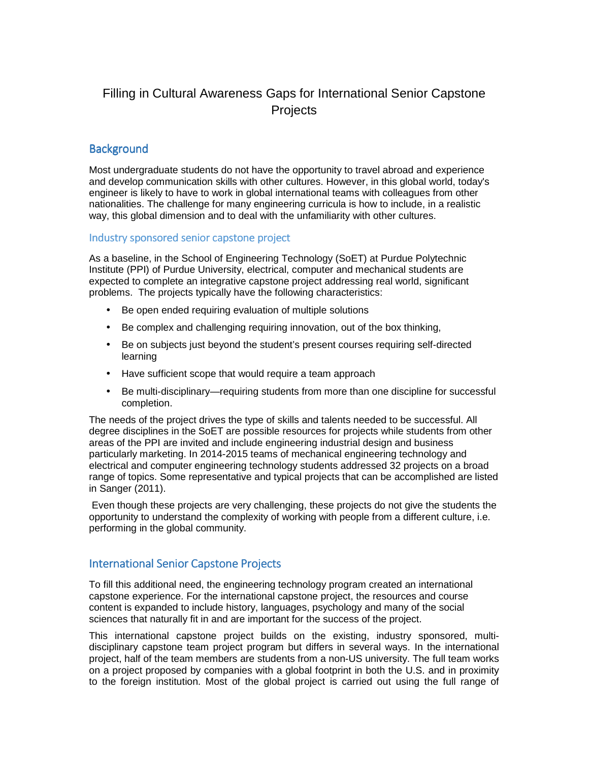# Filling in Cultural Awareness Gaps for International Senior Capstone **Projects**

# **Background**

Most undergraduate students do not have the opportunity to travel abroad and experience and develop communication skills with other cultures. However, in this global world, today's engineer is likely to have to work in global international teams with colleagues from other nationalities. The challenge for many engineering curricula is how to include, in a realistic way, this global dimension and to deal with the unfamiliarity with other cultures.

#### Industry sponsored senior capstone project

As a baseline, in the School of Engineering Technology (SoET) at Purdue Polytechnic Institute (PPI) of Purdue University, electrical, computer and mechanical students are expected to complete an integrative capstone project addressing real world, significant problems. The projects typically have the following characteristics:

- Be open ended requiring evaluation of multiple solutions
- Be complex and challenging requiring innovation, out of the box thinking,
- Be on subjects just beyond the student's present courses requiring self-directed learning
- Have sufficient scope that would require a team approach
- Be multi-disciplinary—requiring students from more than one discipline for successful completion.

The needs of the project drives the type of skills and talents needed to be successful. All degree disciplines in the SoET are possible resources for projects while students from other areas of the PPI are invited and include engineering industrial design and business particularly marketing. In 2014-2015 teams of mechanical engineering technology and electrical and computer engineering technology students addressed 32 projects on a broad range of topics. Some representative and typical projects that can be accomplished are listed in Sanger (2011).

 Even though these projects are very challenging, these projects do not give the students the opportunity to understand the complexity of working with people from a different culture, i.e. performing in the global community.

# **International Senior Capstone Projects**

To fill this additional need, the engineering technology program created an international capstone experience. For the international capstone project, the resources and course content is expanded to include history, languages, psychology and many of the social sciences that naturally fit in and are important for the success of the project.

This international capstone project builds on the existing, industry sponsored, multidisciplinary capstone team project program but differs in several ways. In the international project, half of the team members are students from a non-US university. The full team works on a project proposed by companies with a global footprint in both the U.S. and in proximity to the foreign institution. Most of the global project is carried out using the full range of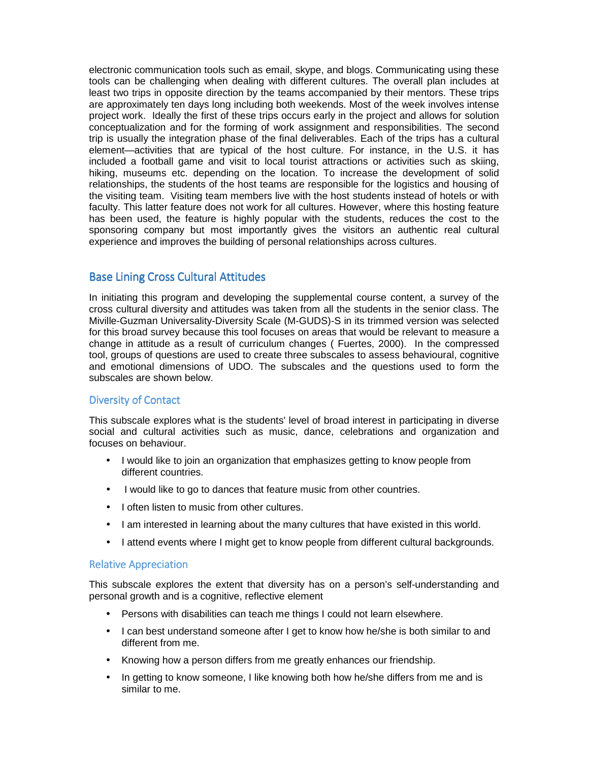electronic communication tools such as email, skype, and blogs. Communicating using these tools can be challenging when dealing with different cultures. The overall plan includes at least two trips in opposite direction by the teams accompanied by their mentors. These trips are approximately ten days long including both weekends. Most of the week involves intense project work. Ideally the first of these trips occurs early in the project and allows for solution conceptualization and for the forming of work assignment and responsibilities. The second trip is usually the integration phase of the final deliverables. Each of the trips has a cultural element—activities that are typical of the host culture. For instance, in the U.S. it has included a football game and visit to local tourist attractions or activities such as skiing, hiking, museums etc. depending on the location. To increase the development of solid relationships, the students of the host teams are responsible for the logistics and housing of the visiting team. Visiting team members live with the host students instead of hotels or with faculty. This latter feature does not work for all cultures. However, where this hosting feature has been used, the feature is highly popular with the students, reduces the cost to the sponsoring company but most importantly gives the visitors an authentic real cultural experience and improves the building of personal relationships across cultures.

### Base Lining Cross Cultural Attitudes

In initiating this program and developing the supplemental course content, a survey of the cross cultural diversity and attitudes was taken from all the students in the senior class. The Miville-Guzman Universality-Diversity Scale (M-GUDS)-S in its trimmed version was selected for this broad survey because this tool focuses on areas that would be relevant to measure a change in attitude as a result of curriculum changes ( Fuertes, 2000). In the compressed tool, groups of questions are used to create three subscales to assess behavioural, cognitive and emotional dimensions of UDO. The subscales and the questions used to form the subscales are shown below.

#### Diversity of Contact

This subscale explores what is the students' level of broad interest in participating in diverse social and cultural activities such as music, dance, celebrations and organization and focuses on behaviour.

- I would like to join an organization that emphasizes getting to know people from different countries.
- I would like to go to dances that feature music from other countries.
- I often listen to music from other cultures.
- I am interested in learning about the many cultures that have existed in this world.
- I attend events where I might get to know people from different cultural backgrounds.

#### Relative Appreciation

This subscale explores the extent that diversity has on a person's self-understanding and personal growth and is a cognitive, reflective element

- Persons with disabilities can teach me things I could not learn elsewhere.
- I can best understand someone after I get to know how he/she is both similar to and different from me.
- Knowing how a person differs from me greatly enhances our friendship.
- In getting to know someone, I like knowing both how he/she differs from me and is similar to me.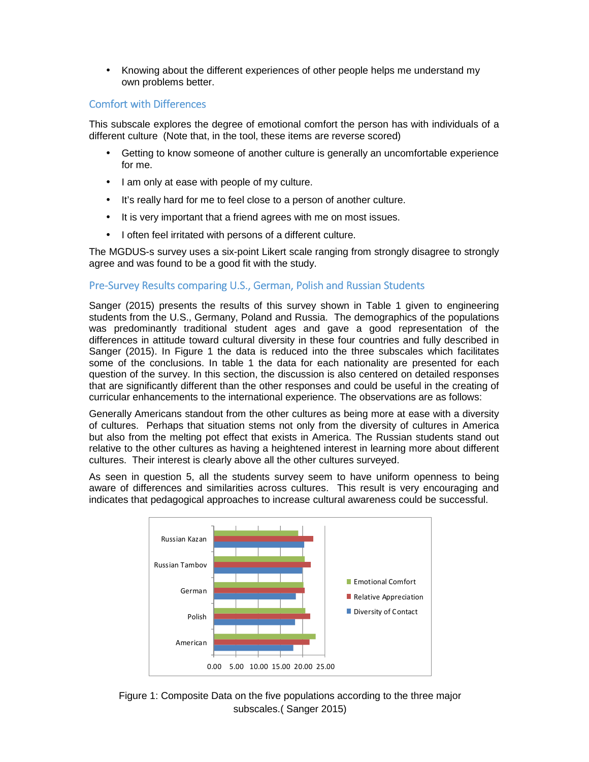• Knowing about the different experiences of other people helps me understand my own problems better.

# Comfort with Differences Comfort with Differences

This subscale explores the degree of emotional comfort the person has with individuals of a different culture (Note that, in the tool, these items are reverse scored)

- Getting to know someone of another culture is generally an uncomfortable experience for me.
- I am only at ease with people of my culture.
- It's really hard for me to feel close to a person of another culture.
- It is very important that a friend agrees with me on most issues.
- I often feel irritated with persons of a different culture.

The MGDUS-s survey uses a six-point Likert scale ranging from strongly disagree to strongly agree and was found to be a good fit with the study.

# Pre-Survey Results comparing U.S., German, Polish and Russian Students

Sanger (2015) presents the results of this survey shown in Table 1 given to engineering students from the U.S., Germany, Poland and Russia. The demographics of the populations was predominantly traditional student ages and gave a good representation of the differences in attitude toward cultural diversity in these four countries and fully described in Sanger (2015). In Figure 1 the data is reduced into the three subscales which facilitates some of the conclusions. In table 1 the data for each nationality are presented for each question of the survey. In this section, the discussion is also centered on detailed responses that are significantly different than the other responses and could be useful in the creating of curricular enhancements to the international experience. The observations are as follows:

Generally Americans standout from the other cultures as being more at ease with a diversity of cultures. Perhaps that situation stems not only from the diversity of cultures in America but also from the melting pot effect that exists in America. The Russian students stand out relative to the other cultures as having a heightened interest in learning more about different cultures. Their interest is clearly above all the other cultures surveyed.

As seen in question 5, all the students survey seem to have uniform openness to being aware of differences and similarities across cultures. This result is very encouraging and indicates that pedagogical approaches to increase cultural awareness could be successful.



Figure 1: Composite Data on the five populations according to the three major subscales.( Sanger 2015)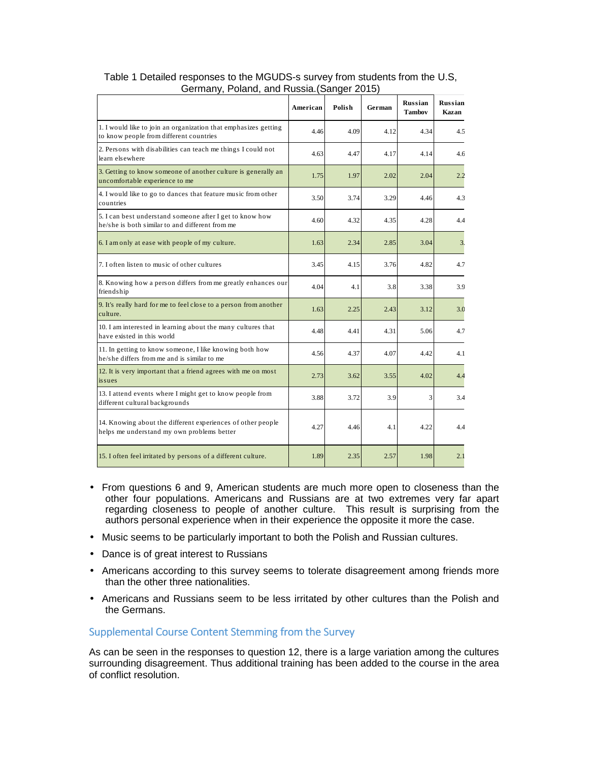|                                                                                                             | American | Polish | German | <b>Russian</b><br><b>Tambov</b> | <b>Russian</b><br>Kazan |
|-------------------------------------------------------------------------------------------------------------|----------|--------|--------|---------------------------------|-------------------------|
| 1. I would like to join an organization that emphasizes getting<br>to know people from different countries  | 4.46     | 4.09   | 4.12   | 4.34                            | 4.5                     |
| 2. Persons with disabilities can teach me things I could not<br>learn elsewhere                             | 4.63     | 4.47   | 4.17   | 4.14                            | 4.6                     |
| 3. Getting to know someone of another culture is generally an<br>uncomfortable experience to me             | 1.75     | 1.97   | 2.02   | 2.04                            | 2.2                     |
| 4. I would like to go to dances that feature music from other<br>countries                                  | 3.50     | 3.74   | 3.29   | 4.46                            | 4.3                     |
| 5. I can best understand someone after I get to know how<br>he/she is both similar to and different from me | 4.60     | 4.32   | 4.35   | 4.28                            | 4.4                     |
| 6. I am only at ease with people of my culture.                                                             | 1.63     | 2.34   | 2.85   | 3.04                            | 3.                      |
| 7. I often listen to music of other cultures                                                                | 3.45     | 4.15   | 3.76   | 4.82                            | 4.7                     |
| 8. Knowing how a person differs from me greatly enhances our<br>friendship                                  | 4.04     | 4.1    | 3.8    | 3.38                            | 3.9                     |
| 9. It's really hard for me to feel close to a person from another<br>culture.                               | 1.63     | 2.25   | 2.43   | 3.12                            | 3.0                     |
| 10. I am interested in learning about the many cultures that<br>have existed in this world                  | 4.48     | 4.41   | 4.31   | 5.06                            | 4.7                     |
| 11. In getting to know someone, I like knowing both how<br>he/she differs from me and is similar to me      | 4.56     | 4.37   | 4.07   | 4.42                            | 4.1                     |
| 12. It is very important that a friend agrees with me on most<br>issues                                     | 2.73     | 3.62   | 3.55   | 4.02                            | 4.4                     |
| 13. I attend events where I might get to know people from<br>different cultural backgrounds                 | 3.88     | 3.72   | 3.9    | 3                               | 3.4                     |
| 14. Knowing about the different experiences of other people<br>helps me understand my own problems better   | 4.27     | 4.46   | 4.1    | 4.22                            | 4.4                     |
| 15. I often feel irritated by persons of a different culture.                                               | 1.89     | 2.35   | 2.57   | 1.98                            | 2.1                     |

#### Table 1 Detailed responses to the MGUDS-s survey from students from the U.S, Germany, Poland, and Russia.(Sanger 2015)

- From questions 6 and 9, American students are much more open to closeness than the other four populations. Americans and Russians are at two extremes very far apart regarding closeness to people of another culture. This result is surprising from the authors personal experience when in their experience the opposite it more the case.
- Music seems to be particularly important to both the Polish and Russian cultures.
- Dance is of great interest to Russians
- Americans according to this survey seems to tolerate disagreement among friends more than the other three nationalities.
- Americans and Russians seem to be less irritated by other cultures than the Polish and the Germans.

#### Supplemental Course Content Stemming from the Survey

As can be seen in the responses to question 12, there is a large variation among the cultures surrounding disagreement. Thus additional training has been added to the course in the area of conflict resolution.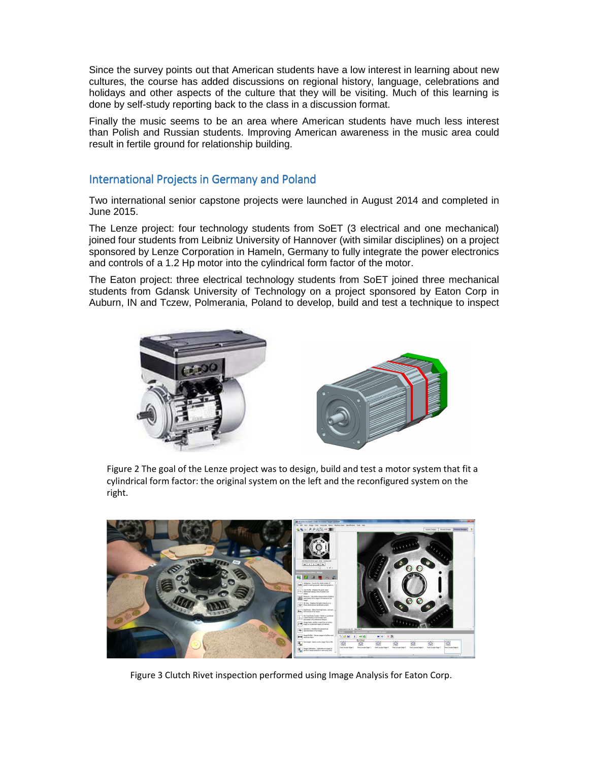Since the survey points out that American students have a low interest in learning about new cultures, the course has added discussions on regional history, language, celebrations and holidays and other aspects of the culture that they will be visiting. Much of this learning is done by self-study reporting back to the class in a discussion format.

Finally the music seems to be an area where American students have much less interest than Polish and Russian students. Improving American awareness in the music area could result in fertile ground for relationship building.

# International Projects in Germany and Poland

Two international senior capstone projects were launched in August 2014 and completed in June 2015.

The Lenze project: four technology students from SoET (3 electrical and one mechanical) joined four students from Leibniz University of Hannover (with similar disciplines) on a project sponsored by Lenze Corporation in Hameln, Germany to fully integrate the power electronics and controls of a 1.2 Hp motor into the cylindrical form factor of the motor.

The Eaton project: three electrical technology students from SoET joined three mechanical students from Gdansk University of Technology on a project sponsored by Eaton Corp in Auburn, IN and Tczew, Polmerania, Poland to develop, build and test a technique to inspect



Figure 2 The goal of the Lenze project was to design, build and test a motor system that fit a cylindrical form factor: the original system on the left and the reconfigured system on the right.



Figure 3 Clutch Rivet inspection performed using Image Analysis for Eaton Corp.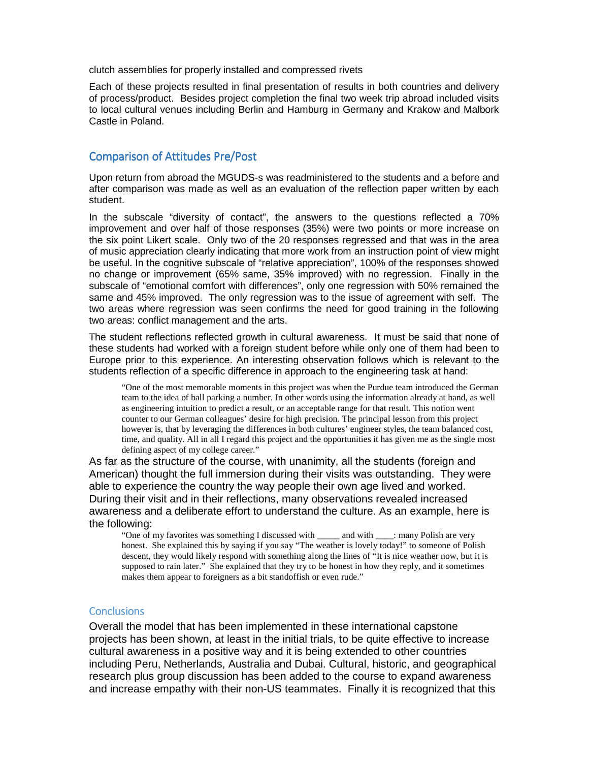clutch assemblies for properly installed and compressed rivets

Each of these projects resulted in final presentation of results in both countries and delivery of process/product. Besides project completion the final two week trip abroad included visits to local cultural venues including Berlin and Hamburg in Germany and Krakow and Malbork Castle in Poland.

### Comparison of Attitudes Pre/Post

Upon return from abroad the MGUDS-s was readministered to the students and a before and after comparison was made as well as an evaluation of the reflection paper written by each student.

In the subscale "diversity of contact", the answers to the questions reflected a 70% improvement and over half of those responses (35%) were two points or more increase on the six point Likert scale. Only two of the 20 responses regressed and that was in the area of music appreciation clearly indicating that more work from an instruction point of view might be useful. In the cognitive subscale of "relative appreciation", 100% of the responses showed no change or improvement (65% same, 35% improved) with no regression. Finally in the subscale of "emotional comfort with differences", only one regression with 50% remained the same and 45% improved. The only regression was to the issue of agreement with self. The two areas where regression was seen confirms the need for good training in the following two areas: conflict management and the arts.

The student reflections reflected growth in cultural awareness. It must be said that none of these students had worked with a foreign student before while only one of them had been to Europe prior to this experience. An interesting observation follows which is relevant to the students reflection of a specific difference in approach to the engineering task at hand:

"One of the most memorable moments in this project was when the Purdue team introduced the German team to the idea of ball parking a number. In other words using the information already at hand, as well as engineering intuition to predict a result, or an acceptable range for that result. This notion went counter to our German colleagues' desire for high precision. The principal lesson from this project however is, that by leveraging the differences in both cultures' engineer styles, the team balanced cost, time, and quality. All in all I regard this project and the opportunities it has given me as the single most defining aspect of my college career."

As far as the structure of the course, with unanimity, all the students (foreign and American) thought the full immersion during their visits was outstanding. They were able to experience the country the way people their own age lived and worked. During their visit and in their reflections, many observations revealed increased awareness and a deliberate effort to understand the culture. As an example, here is the following:

"One of my favorites was something I discussed with \_\_\_\_\_ and with \_\_\_\_: many Polish are very honest. She explained this by saying if you say "The weather is lovely today!" to someone of Polish descent, they would likely respond with something along the lines of "It is nice weather now, but it is supposed to rain later." She explained that they try to be honest in how they reply, and it sometimes makes them appear to foreigners as a bit standoffish or even rude."

#### **Conclusions**

Overall the model that has been implemented in these international capstone projects has been shown, at least in the initial trials, to be quite effective to increase cultural awareness in a positive way and it is being extended to other countries including Peru, Netherlands, Australia and Dubai. Cultural, historic, and geographical research plus group discussion has been added to the course to expand awareness and increase empathy with their non-US teammates. Finally it is recognized that this